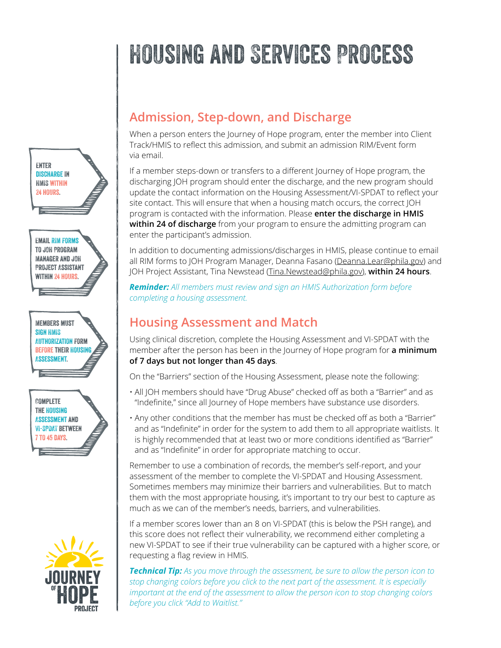# Housing and Services Process



to JOH Program Manager and JOH Project Assistant WITHIN 24 HOURS.

Members must sign HMIS Authorization form before their Housing Assessment.





### **Admission, Step-down, and Discharge**

When a person enters the Journey of Hope program, enter the member into Client Track/HMIS to reflect this admission, and submit an admission RIM/Event form via email.

If a member steps-down or transfers to a different Journey of Hope program, the discharging JOH program should enter the discharge, and the new program should update the contact information on the Housing Assessment/VI-SPDAT to reflect your site contact. This will ensure that when a housing match occurs, the correct JOH program is contacted with the information. Please **enter the discharge in HMIS within 24 of discharge** from your program to ensure the admitting program can enter the participant's admission.

In addition to documenting admissions/discharges in HMIS, please continue to email all RIM forms to JOH Program Manager, Deanna Fasano ([Deanna.Lear@phila.gov\)](mailto:Deanna.Lear%40phila.gov?subject=) and JOH Project Assistant, Tina Newstead [\(Tina.Newstead@phila.gov](mailto:Tina.Newstead%40phila.gov?subject=)), **within 24 hours**.

*Reminder: All members must review and sign an HMIS Authorization form before completing a housing assessment.* 

#### **Housing Assessment and Match**

Using clinical discretion, complete the Housing Assessment and VI-SPDAT with the member after the person has been in the Journey of Hope program for **a minimum of 7 days but not longer than 45 days**.

On the "Barriers" section of the Housing Assessment, please note the following:

- All JOH members should have "Drug Abuse" checked off as both a "Barrier" and as "Indefinite," since all Journey of Hope members have substance use disorders.
- Any other conditions that the member has must be checked off as both a "Barrier" and as "Indefinite" in order for the system to add them to all appropriate waitlists. It is highly recommended that at least two or more conditions identified as "Barrier" and as "Indefinite" in order for appropriate matching to occur.

Remember to use a combination of records, the member's self-report, and your assessment of the member to complete the VI-SPDAT and Housing Assessment. Sometimes members may minimize their barriers and vulnerabilities. But to match them with the most appropriate housing, it's important to try our best to capture as much as we can of the member's needs, barriers, and vulnerabilities.

If a member scores lower than an 8 on VI-SPDAT (this is below the PSH range), and this score does not reflect their vulnerability, we recommend either completing a new VI-SPDAT to see if their true vulnerability can be captured with a higher score, or requesting a flag review in HMIS.

*Technical Tip: As you move through the assessment, be sure to allow the person icon to stop changing colors before you click to the next part of the assessment. It is especially important at the end of the assessment to allow the person icon to stop changing colors before you click "Add to Waitlist."*